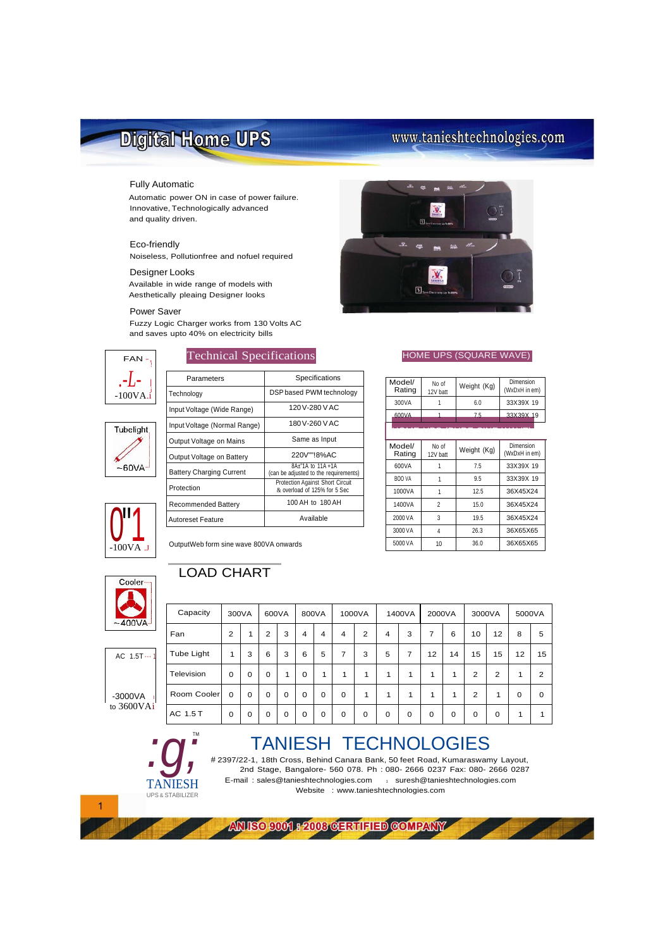# Digital Home UPS

# www.tanieshtechnologies.com

### Fully Automatic

Automatic power ON in case of power failure. Innovative, Technologically advanced and quality driven.

### Eco-friendly

Noiseless, Pollutionfree and nofuel required

### Designer Looks

Available in wide range of models with Aesthetically pleaing Designer looks

### Power Saver

Fuzzy Logic Charger works from 130 Volts AC and saves upto 40% on electricity bills



Parameters <br>
Specifications



| Technology                             | DSP based PWM technology                                          |  |  |  |  |  |
|----------------------------------------|-------------------------------------------------------------------|--|--|--|--|--|
| Input Voltage (Wide Range)             | 120V-280VAC                                                       |  |  |  |  |  |
| Input Voltage (Normal Range)           | 180V-260 VAC                                                      |  |  |  |  |  |
| Output Voltage on Mains                | Same as Input                                                     |  |  |  |  |  |
| Output Voltage on Battery              | 220V""!8%AC                                                       |  |  |  |  |  |
| <b>Battery Charging Current</b>        | 8A±"1A to 11A +1A<br>(can be adjusted to the requirements)        |  |  |  |  |  |
| Protection                             | Protection Against Short Circuit<br>& overload of 125% for 5 Sec. |  |  |  |  |  |
| <b>Recommended Battery</b>             | 100 AH to 180 AH                                                  |  |  |  |  |  |
| <b>Autoreset Feature</b>               | Available                                                         |  |  |  |  |  |
| OutputWeb form sine wave 800VA onwards |                                                                   |  |  |  |  |  |
|                                        |                                                                   |  |  |  |  |  |



### Technical Specifications **HOME UPS (SQUARE WAVE)**

| Model/<br>Rating | No of<br>12V batt | Weight (Kg) | Dimension<br>(WxDxH in em) |
|------------------|-------------------|-------------|----------------------------|
| 300VA            |                   | 6.0         | 33X39X 19                  |
| 600VA            |                   | 75          | 33X39X 19                  |
|                  |                   |             |                            |

| Model/<br>Rating | No of<br>12V batt | Weight (Kg) | Dimension<br>(WxDxH in em) |
|------------------|-------------------|-------------|----------------------------|
| 600VA            |                   | 7.5         | 33X39X 19                  |
| BOO VA           |                   | 9.5         | 33X39X 19                  |
| 1000VA           |                   | 12.5        | 36X45X24                   |
| 1400VA           | 2                 | 15.0        | 36X45X24                   |
| 2000 VA          | 3                 | 19.5        | 36X45X24                   |
| 3000 VA          | 4                 | 26.3        | 36X65X65                   |
| 5000 VA          | 10                | 36.0        | 36X65X65                   |



### OutputWeb form sine wave 800VA onwards

## LOAD CHART



 $AC$  1.5T $\cdots$ 

 $-3000VA$ to 3600VAi

*:g;*

TANIESH UPS & STABILIZER

TM

| Capacity    | 300VA          |          | 600VA       |             | 800VA    |          | 1000VA         |                | 1400VA         |              | 2000VA |             | 3000VA         |                | 5000VA   |          |
|-------------|----------------|----------|-------------|-------------|----------|----------|----------------|----------------|----------------|--------------|--------|-------------|----------------|----------------|----------|----------|
| Fan         | $\overline{2}$ | 1        | 2           | 3           | 4        | 4        | $\overline{4}$ | $\overline{2}$ | $\overline{4}$ | 3            | 7      | 6           | 10             | 12             | 8        | 5        |
| Tube Light  | 1              | 3        | 6           | 3           | 6        | 5        | 7              | 3              | 5              | 7            | 12     | 14          | 15             | 15             | 12       | 15       |
| Television  | $\Omega$       | $\Omega$ | $\Omega$    | 1           | $\Omega$ | 1        | 1              | 1              | $\mathbf{1}$   | 1            | 1      | 1           | 2              | $\overline{2}$ | 1        | 2        |
| Room Cooler | $\Omega$       | $\Omega$ | $\Omega$    | $\mathbf 0$ | $\Omega$ | $\Omega$ | 0              | 1              | $\mathbf{1}$   | $\mathbf{1}$ | 1      | 1           | $\overline{2}$ | 1              | $\Omega$ | $\Omega$ |
| AC 1.5 T    | 0              | 0        | $\mathbf 0$ | $\mathbf 0$ | 0        | 0        | 0              | 0              | 0              | 0            | 0      | $\mathbf 0$ | 0              | 0              | 1        | 1        |

# TANIESH TECHNOLOGIES

# 2397/22-1, 18th Cross, Behind Canara Bank, 50 feet Road, Kumaraswamy Layout, 2nd Stage, Bangalore- 560 078. Ph : 080- 2666 0237 Fax: 080- 2666 0287 E-mail : [sales@tanieshtechnologies.com](mailto:sales@tanieshtechnologies.com) 1 [suresh@tanieshtechnologies.com](mailto:suresh@tanieshtechnologies.com) Website : [www.tanieshtechnologies.com](http://www.tanieshtechnologies.com/)

ANISO 9001 : 2003 GERTIFIED GOMPANY